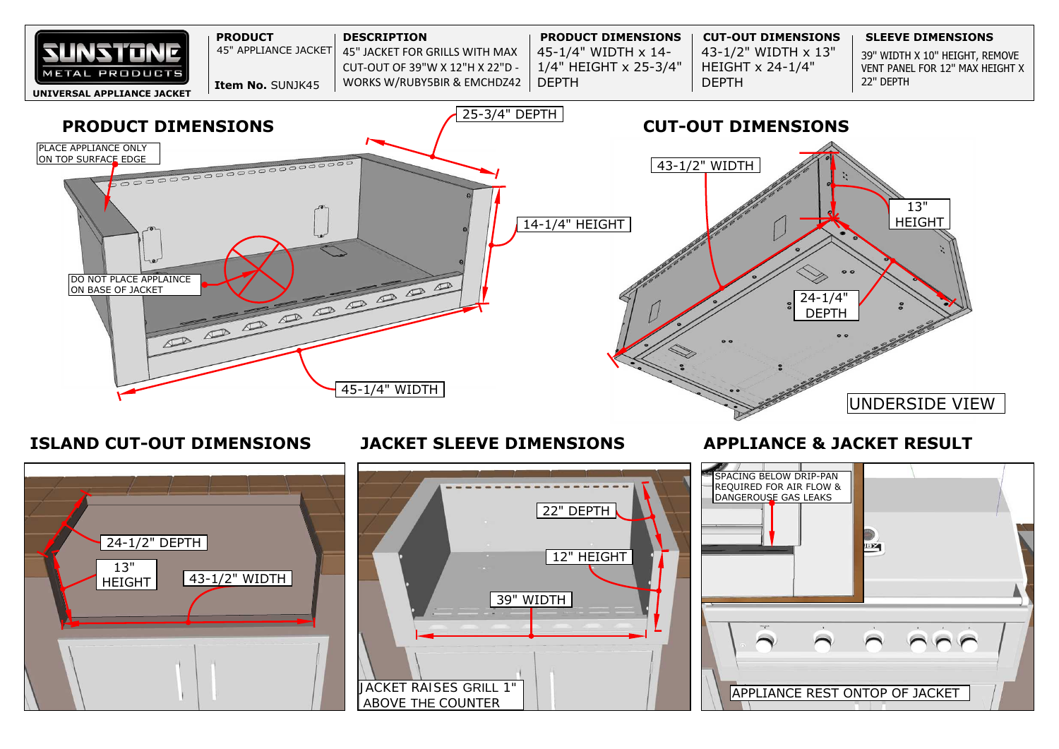39" WIDTH X 10" HEIGHT, REMOVE VENT PANEL FOR 12" MAX HEIGHT X



# **ISLAND CUT-OUT DIMENSIONS**

**JACKET SLEEVE DIMENSIONS APPLIANCE & JACKET RESULT**